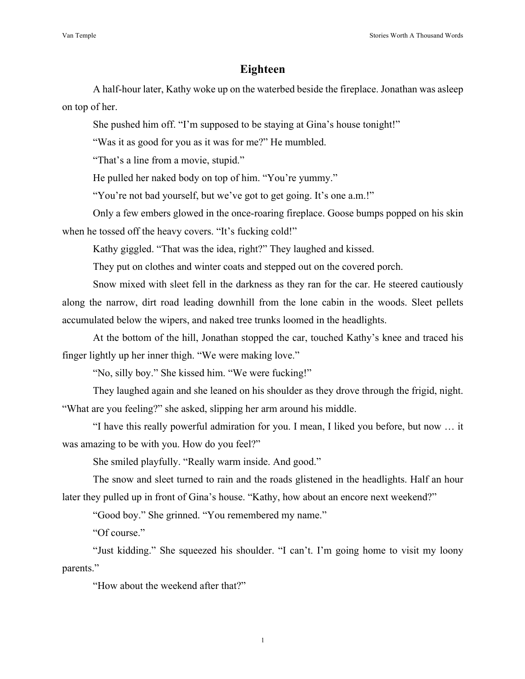## **Eighteen**

A half-hour later, Kathy woke up on the waterbed beside the fireplace. Jonathan was asleep on top of her.

She pushed him off. "I'm supposed to be staying at Gina's house tonight!"

"Was it as good for you as it was for me?" He mumbled.

"That's a line from a movie, stupid."

He pulled her naked body on top of him. "You're yummy."

"You're not bad yourself, but we've got to get going. It's one a.m.!"

Only a few embers glowed in the once-roaring fireplace. Goose bumps popped on his skin when he tossed off the heavy covers. "It's fucking cold!"

Kathy giggled. "That was the idea, right?" They laughed and kissed.

They put on clothes and winter coats and stepped out on the covered porch.

Snow mixed with sleet fell in the darkness as they ran for the car. He steered cautiously along the narrow, dirt road leading downhill from the lone cabin in the woods. Sleet pellets accumulated below the wipers, and naked tree trunks loomed in the headlights.

At the bottom of the hill, Jonathan stopped the car, touched Kathy's knee and traced his finger lightly up her inner thigh. "We were making love."

"No, silly boy." She kissed him. "We were fucking!"

They laughed again and she leaned on his shoulder as they drove through the frigid, night. "What are you feeling?" she asked, slipping her arm around his middle.

"I have this really powerful admiration for you. I mean, I liked you before, but now … it was amazing to be with you. How do you feel?"

She smiled playfully. "Really warm inside. And good."

The snow and sleet turned to rain and the roads glistened in the headlights. Half an hour later they pulled up in front of Gina's house. "Kathy, how about an encore next weekend?"

"Good boy." She grinned. "You remembered my name."

"Of course."

"Just kidding." She squeezed his shoulder. "I can't. I'm going home to visit my loony parents."

"How about the weekend after that?"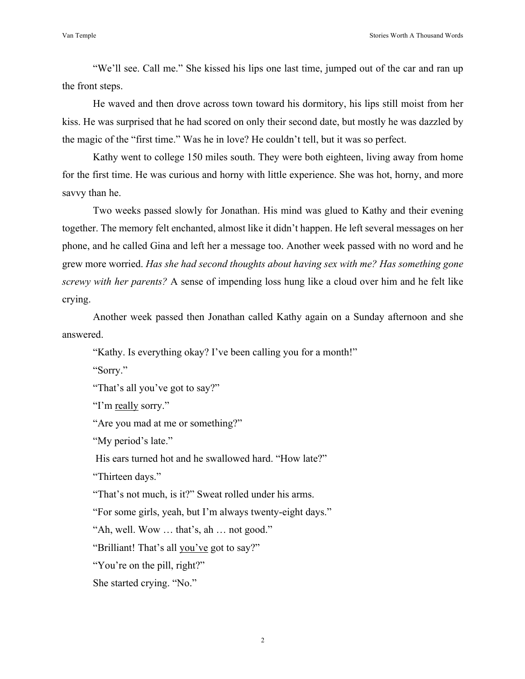"We'll see. Call me." She kissed his lips one last time, jumped out of the car and ran up the front steps.

He waved and then drove across town toward his dormitory, his lips still moist from her kiss. He was surprised that he had scored on only their second date, but mostly he was dazzled by the magic of the "first time." Was he in love? He couldn't tell, but it was so perfect.

Kathy went to college 150 miles south. They were both eighteen, living away from home for the first time. He was curious and horny with little experience. She was hot, horny, and more savvy than he.

Two weeks passed slowly for Jonathan. His mind was glued to Kathy and their evening together. The memory felt enchanted, almost like it didn't happen. He left several messages on her phone, and he called Gina and left her a message too. Another week passed with no word and he grew more worried. *Has she had second thoughts about having sex with me? Has something gone screwy with her parents?* A sense of impending loss hung like a cloud over him and he felt like crying.

Another week passed then Jonathan called Kathy again on a Sunday afternoon and she answered.

"Kathy. Is everything okay? I've been calling you for a month!"

"Sorry."

"That's all you've got to say?"

"I'm really sorry."

"Are you mad at me or something?"

"My period's late."

His ears turned hot and he swallowed hard. "How late?"

"Thirteen days."

"That's not much, is it?" Sweat rolled under his arms.

"For some girls, yeah, but I'm always twenty-eight days."

"Ah, well. Wow … that's, ah … not good."

"Brilliant! That's all you've got to say?"

"You're on the pill, right?"

She started crying. "No."